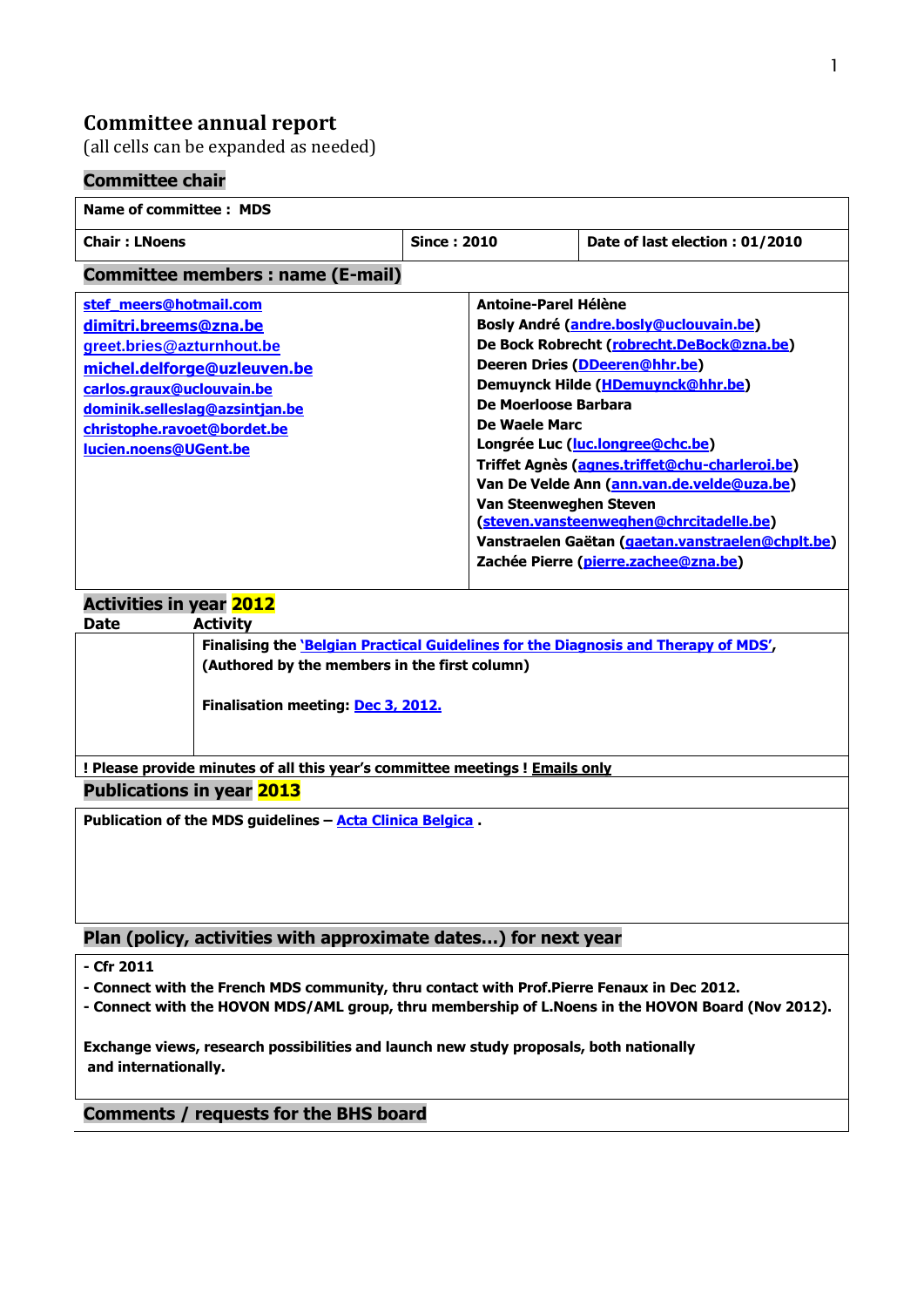# **Committee annual report**

(all cells can be expanded as needed)

## **Committee chair**

#### **Name of committee : MDS Chair : LNoens Since : 2010 Date of last election : 01/2010 Committee members : name (E-mail) [stef\\_meers@hotmail.com](mailto:stef_meers@hotmail.com) [dimitri.breems@zna.be](mailto:dimitri.breems@zna.be) greet.bries@azturnhout.be [michel.delforge@uzleuven.be](mailto:michel.delforge@uzleuven.be) [carlos.graux@uclouvain.be](mailto:carlos.graux@uclouvain.be) [dominik.selleslag@azsintjan.be](mailto:dominik.selleslag@azsintjan.be) [christophe.ravoet@bordet.be](mailto:christophe.ravoet@bordet.be) [lucien.noens@UGent.be](mailto:lucien.noens@UGent.be) Antoine-Parel Hélène Bosly André [\(andre.bosly@uclouvain.be\)](mailto:andre.bosly@uclouvain.be) De Bock Robrecht [\(robrecht.DeBock@zna.be\)](mailto:robrecht.DeBock@zna.be) Deeren Dries [\(DDeeren@hhr.be\)](mailto:DDeeren@hhr.be) Demuynck Hilde [\(HDemuynck@hhr.be\)](mailto:HDemuynck@hhr.be) De Moerloose Barbara De Waele Marc Longrée Luc [\(luc.longree@chc.be\)](mailto:luc.longree@chc.be) Triffet Agnès [\(agnes.triffet@chu-charleroi.be\)](mailto:agnes.triffet@chu-charleroi.be) Van De Velde Ann [\(ann.van.de.velde@uza.be\)](mailto:ann.van.de.velde@uza.be) Van Steenweghen Steven [\(steven.vansteenweghen@chrcitadelle.be\)](mailto:steven.vansteenweghen@chrcitadelle.be) Vanstraelen Gaëtan [\(gaetan.vanstraelen@chplt.be\)](mailto:gaetan.vanstraelen@chplt.be) Zachée Pierre [\(pierre.zachee@zna.be\)](mailto:pierre.zachee@zna.be) Activities in year 2012 Date Activity Finalising the 'Belgian Practical Guidelines for the Diagnosis and Therapy of MDS', (Authored by the members in the first column) Finalisation meeting: Dec 3, 2012.**

**! Please provide minutes of all this year's committee meetings ! Emails only**

**Publications in year 2013**

**Publication of the MDS guidelines – Acta Clinica Belgica .**

## **Plan (policy, activities with approximate dates…) for next year**

- **- Cfr 2011**
- **- Connect with the French MDS community, thru contact with Prof.Pierre Fenaux in Dec 2012.**
- **- Connect with the HOVON MDS/AML group, thru membership of L.Noens in the HOVON Board (Nov 2012).**

**Exchange views, research possibilities and launch new study proposals, both nationally and internationally.**

### **Comments / requests for the BHS board**